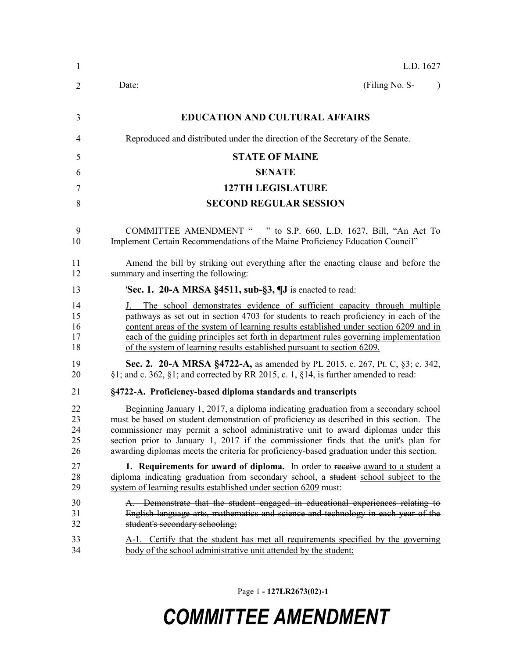| $\mathbf{1}$               | L.D. 1627                                                                                                                                                                                                                                                                                                                                                                                                                                              |
|----------------------------|--------------------------------------------------------------------------------------------------------------------------------------------------------------------------------------------------------------------------------------------------------------------------------------------------------------------------------------------------------------------------------------------------------------------------------------------------------|
| 2                          | (Filing No. S-<br>Date:<br>$\lambda$                                                                                                                                                                                                                                                                                                                                                                                                                   |
| 3                          | <b>EDUCATION AND CULTURAL AFFAIRS</b>                                                                                                                                                                                                                                                                                                                                                                                                                  |
| 4                          | Reproduced and distributed under the direction of the Secretary of the Senate.                                                                                                                                                                                                                                                                                                                                                                         |
| 5                          | <b>STATE OF MAINE</b>                                                                                                                                                                                                                                                                                                                                                                                                                                  |
| 6                          | <b>SENATE</b>                                                                                                                                                                                                                                                                                                                                                                                                                                          |
| 7                          | <b>127TH LEGISLATURE</b>                                                                                                                                                                                                                                                                                                                                                                                                                               |
| 8                          | <b>SECOND REGULAR SESSION</b>                                                                                                                                                                                                                                                                                                                                                                                                                          |
| 9<br>10                    | COMMITTEE AMENDMENT " " to S.P. 660, L.D. 1627, Bill, "An Act To<br>Implement Certain Recommendations of the Maine Proficiency Education Council"                                                                                                                                                                                                                                                                                                      |
| 11<br>12                   | Amend the bill by striking out everything after the enacting clause and before the<br>summary and inserting the following:                                                                                                                                                                                                                                                                                                                             |
| 13                         | <b>Sec. 1. 20-A MRSA §4511, sub-§3, <math>\P</math>J</b> is enacted to read:                                                                                                                                                                                                                                                                                                                                                                           |
| 14<br>15<br>16<br>17<br>18 | The school demonstrates evidence of sufficient capacity through multiple<br>pathways as set out in section 4703 for students to reach proficiency in each of the<br>content areas of the system of learning results established under section 6209 and in<br>each of the guiding principles set forth in department rules governing implementation<br>of the system of learning results established pursuant to section 6209.                          |
| 19<br>20                   | Sec. 2. 20-A MRSA §4722-A, as amended by PL 2015, c. 267, Pt. C, §3; c. 342,<br>$\S1$ ; and c. 362, $\S1$ ; and corrected by RR 2015, c. 1, $\S14$ , is further amended to read:                                                                                                                                                                                                                                                                       |
| 21                         | §4722-A. Proficiency-based diploma standards and transcripts                                                                                                                                                                                                                                                                                                                                                                                           |
| 22<br>23<br>24<br>25<br>26 | Beginning January 1, 2017, a diploma indicating graduation from a secondary school<br>must be based on student demonstration of proficiency as described in this section. The<br>commissioner may permit a school administrative unit to award diplomas under this<br>section prior to January 1, 2017 if the commissioner finds that the unit's plan for<br>awarding diplomas meets the criteria for proficiency-based graduation under this section. |
| 27<br>28<br>29             | 1. Requirements for award of diploma. In order to receive award to a student a<br>diploma indicating graduation from secondary school, a student school subject to the<br>system of learning results established under section 6209 must:                                                                                                                                                                                                              |
| 30<br>31<br>32             | A. Demonstrate that the student engaged in educational experiences relating to<br>English language arts, mathematics and science and technology in each year of the<br>student's secondary schooling;                                                                                                                                                                                                                                                  |
| 33<br>34                   | A-1. Certify that the student has met all requirements specified by the governing<br><u>body of the school administrative unit attended by the student;</u>                                                                                                                                                                                                                                                                                            |

Page 1 **- 127LR2673(02)-1**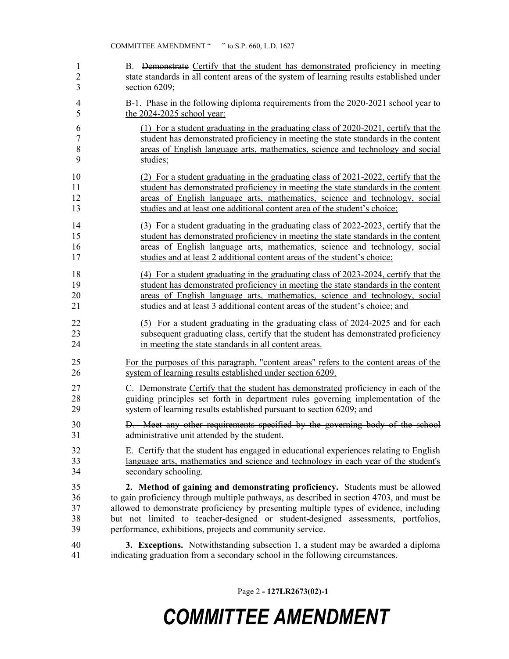| 1              | B. Demonstrate Certify that the student has demonstrated proficiency in meeting          |
|----------------|------------------------------------------------------------------------------------------|
| $\overline{2}$ | state standards in all content areas of the system of learning results established under |
| 3              | section 6209;                                                                            |
| 4              | B-1. Phase in the following diploma requirements from the 2020-2021 school year to       |
| 5              | the 2024-2025 school year:                                                               |
| 6              | (1) For a student graduating in the graduating class of 2020-2021, certify that the      |
| 7              | student has demonstrated proficiency in meeting the state standards in the content       |
| 8              | areas of English language arts, mathematics, science and technology and social           |
| 9              | studies;                                                                                 |
| 10             | (2) For a student graduating in the graduating class of 2021-2022, certify that the      |
| 11             | student has demonstrated proficiency in meeting the state standards in the content       |
| 12             | areas of English language arts, mathematics, science and technology, social              |
| 13             | studies and at least one additional content area of the student's choice;                |
| 14             | (3) For a student graduating in the graduating class of 2022-2023, certify that the      |
| 15             | student has demonstrated proficiency in meeting the state standards in the content       |
| 16             | areas of English language arts, mathematics, science and technology, social              |
| 17             | studies and at least 2 additional content areas of the student's choice;                 |
| 18             | (4) For a student graduating in the graduating class of 2023-2024, certify that the      |
| 19             | student has demonstrated proficiency in meeting the state standards in the content       |
| 20             | areas of English language arts, mathematics, science and technology, social              |
| 21             | studies and at least 3 additional content areas of the student's choice; and             |
| 22             | (5) For a student graduating in the graduating class of 2024-2025 and for each           |
| 23             | subsequent graduating class, certify that the student has demonstrated proficiency       |
| 24             | in meeting the state standards in all content areas.                                     |
| 25             | For the purposes of this paragraph, "content areas" refers to the content areas of the   |
| 26             | system of learning results established under section 6209.                               |
| 27             | C. Demonstrate Certify that the student has demonstrated proficiency in each of the      |
| 28             | guiding principles set forth in department rules governing implementation of the         |
| 29             | system of learning results established pursuant to section 6209; and                     |
| 30             | D. Meet any other requirements specified by the governing body of the school             |
| 31             | administrative unit attended by the student.                                             |
| 32             | E. Certify that the student has engaged in educational experiences relating to English   |
| 33             | language arts, mathematics and science and technology in each year of the student's      |
| 34             | secondary schooling.                                                                     |
| 35             | 2. Method of gaining and demonstrating proficiency. Students must be allowed             |
| 36             | to gain proficiency through multiple pathways, as described in section 4703, and must be |
| 37             | allowed to demonstrate proficiency by presenting multiple types of evidence, including   |
| 38             | but not limited to teacher-designed or student-designed assessments, portfolios,         |
| 39             | performance, exhibitions, projects and community service.                                |
| 40             | 3. Exceptions. Notwithstanding subsection 1, a student may be awarded a diploma          |
| 41             | indicating graduation from a secondary school in the following circumstances.            |

Page 2 **- 127LR2673(02)-1**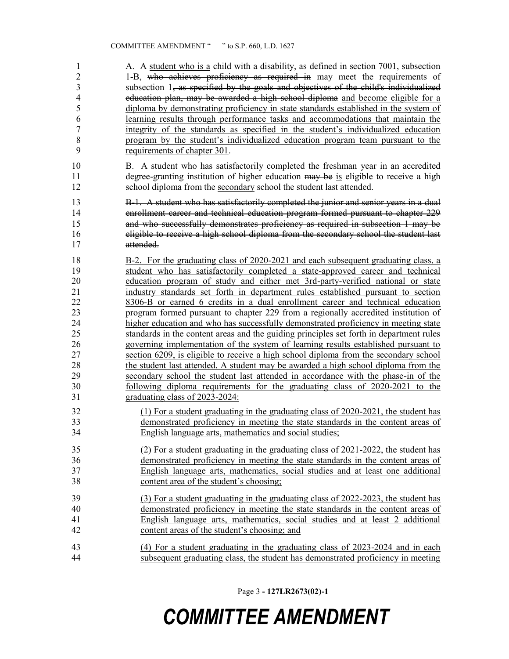1 A. A student who is a child with a disability, as defined in section 7001, subsection 1-B, who achieves proficiency as required in may meet the requirements of subsection 1, as specified by the goals and objectives of the child's individualized 4 education plan, may be awarded a high school diploma and become eligible for a diploma by demonstrating proficiency in state standards established in the system of learning results through performance tasks and accommodations that maintain the integrity of the standards as specified in the student's individualized education program by the student's individualized education program team pursuant to the requirements of chapter 301. B. A student who has satisfactorily completed the freshman year in an accredited 11 degree-granting institution of higher education may be is eligible to receive a high school diploma from the secondary school the student last attended. B-1. A student who has satisfactorily completed the junior and senior years in a dual enrollment career and technical education program formed pursuant to chapter 229 and who successfully demonstrates proficiency as required in subsection 1 may be eligible to receive a high school diploma from the secondary school the student last attended. B-2. For the graduating class of 2020-2021 and each subsequent graduating class, a student who has satisfactorily completed a state-approved career and technical education program of study and either met 3rd-party-verified national or state industry standards set forth in department rules established pursuant to section 8306-B or earned 6 credits in a dual enrollment career and technical education program formed pursuant to chapter 229 from a regionally accredited institution of higher education and who has successfully demonstrated proficiency in meeting state standards in the content areas and the guiding principles set forth in department rules governing implementation of the system of learning results established pursuant to section 6209, is eligible to receive a high school diploma from the secondary school the student last attended. A student may be awarded a high school diploma from the secondary school the student last attended in accordance with the phase-in of the following diploma requirements for the graduating class of 2020-2021 to the graduating class of 2023-2024: (1) For a student graduating in the graduating class of 2020-2021, the student has demonstrated proficiency in meeting the state standards in the content areas of English language arts, mathematics and social studies; (2) For a student graduating in the graduating class of 2021-2022, the student has demonstrated proficiency in meeting the state standards in the content areas of English language arts, mathematics, social studies and at least one additional content area of the student's choosing; (3) For a student graduating in the graduating class of 2022-2023, the student has demonstrated proficiency in meeting the state standards in the content areas of English language arts, mathematics, social studies and at least 2 additional content areas of the student's choosing; and (4) For a student graduating in the graduating class of 2023-2024 and in each subsequent graduating class, the student has demonstrated proficiency in meeting

Page 3 **- 127LR2673(02)-1**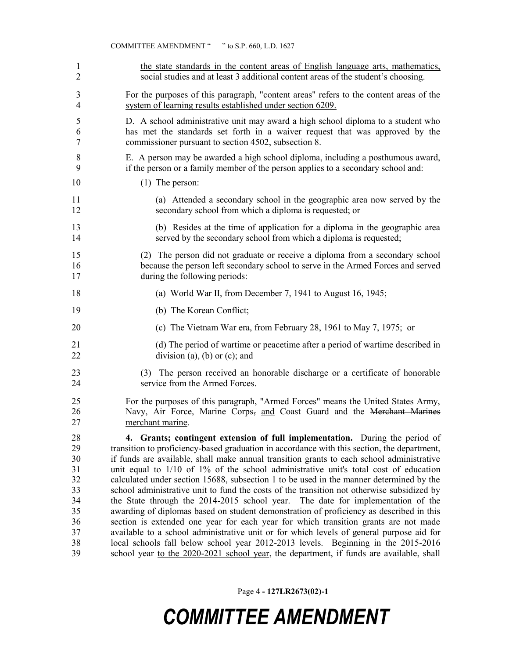|                | " to S.P. 660, L.D. 1627<br><b>COMMITTEE AMENDMENT "</b>                                                          |
|----------------|-------------------------------------------------------------------------------------------------------------------|
| 1              | the state standards in the content areas of English language arts, mathematics,                                   |
| $\overline{2}$ | social studies and at least 3 additional content areas of the student's choosing.                                 |
| 3              | For the purposes of this paragraph, "content areas" refers to the content areas of the                            |
| 4              | system of learning results established under section 6209.                                                        |
| 5              | D. A school administrative unit may award a high school diploma to a student who                                  |
| 6              | has met the standards set forth in a waiver request that was approved by the                                      |
| 7              | commissioner pursuant to section 4502, subsection 8.                                                              |
| 8              | E. A person may be awarded a high school diploma, including a posthumous award,                                   |
| 9              | if the person or a family member of the person applies to a secondary school and:                                 |
| 10             | $(1)$ The person:                                                                                                 |
| 11             | (a) Attended a secondary school in the geographic area now served by the                                          |
| 12             | secondary school from which a diploma is requested; or                                                            |
| 13             | (b) Resides at the time of application for a diploma in the geographic area                                       |
| 14             | served by the secondary school from which a diploma is requested;                                                 |
| 15             | (2) The person did not graduate or receive a diploma from a secondary school                                      |
| 16             | because the person left secondary school to serve in the Armed Forces and served                                  |
| 17             | during the following periods:                                                                                     |
| 18             | (a) World War II, from December 7, 1941 to August 16, 1945;                                                       |
| 19             | (b) The Korean Conflict;                                                                                          |
| 20             | (c) The Vietnam War era, from February 28, 1961 to May 7, 1975; or                                                |
| 21             | (d) The period of wartime or peacetime after a period of wartime described in                                     |
| 22             | division (a), (b) or (c); and                                                                                     |
| 23<br>24       | The person received an honorable discharge or a certificate of honorable<br>(3)<br>service from the Armed Forces. |
| 25             | For the purposes of this paragraph, "Armed Forces" means the United States Army,                                  |
| 26             | Navy, Air Force, Marine Corps, and Coast Guard and the Merchant Marines                                           |
| 27             | merchant marine.                                                                                                  |
| 28             | 4. Grants; contingent extension of full implementation. During the period of                                      |
| 29             | transition to proficiency-based graduation in accordance with this section, the department,                       |
| 30             | if funds are available, shall make annual transition grants to each school administrative                         |
| 31             | unit equal to $1/10$ of $1\%$ of the school administrative unit's total cost of education                         |
| 32             | calculated under section 15688, subsection 1 to be used in the manner determined by the                           |
| 33             | school administrative unit to fund the costs of the transition not otherwise subsidized by                        |
| 34             | the State through the 2014-2015 school year. The date for implementation of the                                   |
| 35             | awarding of diplomas based on student demonstration of proficiency as described in this                           |
| 36             | section is extended one year for each year for which transition grants are not made                               |
| 37             | available to a school administrative unit or for which levels of general purpose aid for                          |
| 38             | local schools fall below school year 2012-2013 levels. Beginning in the 2015-2016                                 |
| 39             | school year to the 2020-2021 school year, the department, if funds are available, shall                           |

Page 4 **- 127LR2673(02)-1**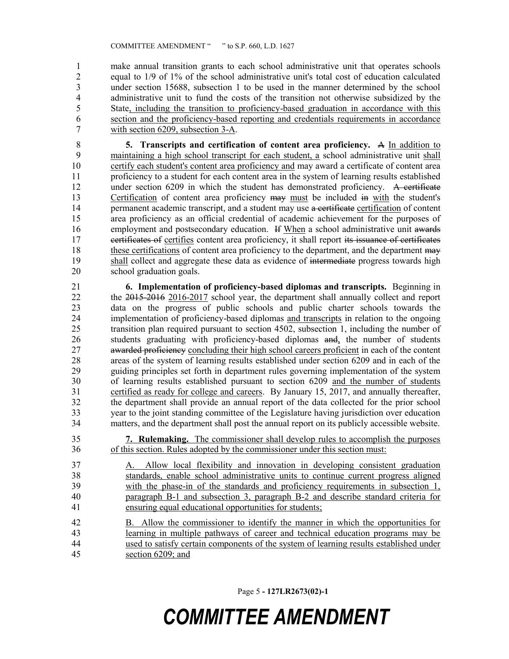make annual transition grants to each school administrative unit that operates schools equal to 1/9 of 1% of the school administrative unit's total cost of education calculated under section 15688, subsection 1 to be used in the manner determined by the school administrative unit to fund the costs of the transition not otherwise subsidized by the State, including the transition to proficiency-based graduation in accordance with this section and the proficiency-based reporting and credentials requirements in accordance with section 6209, subsection 3-A.

 **5. Transcripts and certification of content area proficiency.** A In addition to maintaining a high school transcript for each student, a school administrative unit shall certify each student's content area proficiency and may award a certificate of content area proficiency to a student for each content area in the system of learning results established 12 under section 6209 in which the student has demonstrated proficiency. A certificate 13 Certification of content area proficiency may must be included in with the student's 14 permanent academic transcript, and a student may use a certificate certification of content area proficiency as an official credential of academic achievement for the purposes of employment and postsecondary education. If When a school administrative unit awards 17 eertificates of certifies content area proficiency, it shall report its issuance of certificates 18 these certifications of content area proficiency to the department, and the department may shall collect and aggregate these data as evidence of intermediate progress towards high school graduation goals.

 **6. Implementation of proficiency-based diplomas and transcripts.** Beginning in 22 the 2015-2016 2016-2017 school year, the department shall annually collect and report data on the progress of public schools and public charter schools towards the implementation of proficiency-based diplomas and transcripts in relation to the ongoing transition plan required pursuant to section 4502, subsection 1, including the number of students graduating with proficiency-based diplomas and, the number of students 27 awarded proficiency concluding their high school careers proficient in each of the content 28 areas of the system of learning results established under section 6209 and in each of the system and application of the system and the system of the system and the system of the system of the system of the system of the guiding principles set forth in department rules governing implementation of the system of learning results established pursuant to section 6209 and the number of students certified as ready for college and careers. By January 15, 2017, and annually thereafter, the department shall provide an annual report of the data collected for the prior school year to the joint standing committee of the Legislature having jurisdiction over education matters, and the department shall post the annual report on its publicly accessible website.

 **7. Rulemaking.** The commissioner shall develop rules to accomplish the purposes of this section. Rules adopted by the commissioner under this section must:

- A. Allow local flexibility and innovation in developing consistent graduation standards, enable school administrative units to continue current progress aligned with the phase-in of the standards and proficiency requirements in subsection 1, paragraph B-1 and subsection 3, paragraph B-2 and describe standard criteria for ensuring equal educational opportunities for students;
- B. Allow the commissioner to identify the manner in which the opportunities for learning in multiple pathways of career and technical education programs may be used to satisfy certain components of the system of learning results established under section 6209; and

Page 5 **- 127LR2673(02)-1**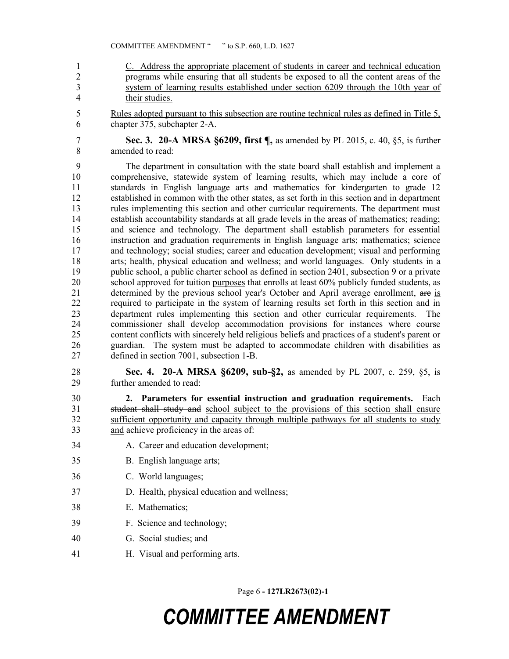C. Address the appropriate placement of students in career and technical education programs while ensuring that all students be exposed to all the content areas of the system of learning results established under section 6209 through the 10th year of their studies.

 Rules adopted pursuant to this subsection are routine technical rules as defined in Title 5, chapter 375, subchapter 2-A.

 **Sec. 3. 20-A MRSA §6209, first ¶,** as amended by PL 2015, c. 40, §5, is further amended to read:

 The department in consultation with the state board shall establish and implement a comprehensive, statewide system of learning results, which may include a core of standards in English language arts and mathematics for kindergarten to grade 12 established in common with the other states, as set forth in this section and in department rules implementing this section and other curricular requirements. The department must establish accountability standards at all grade levels in the areas of mathematics; reading; and science and technology. The department shall establish parameters for essential instruction and graduation requirements in English language arts; mathematics; science and technology; social studies; career and education development; visual and performing 18 arts; health, physical education and wellness; and world languages. Only students in a public school, a public charter school as defined in section 2401, subsection 9 or a private 20 school approved for tuition purposes that enrolls at least 60% publicly funded students, as 21 determined by the previous school year's October and April average enrollment, are is required to participate in the system of learning results set forth in this section and in department rules implementing this section and other curricular requirements. The commissioner shall develop accommodation provisions for instances where course content conflicts with sincerely held religious beliefs and practices of a student's parent or guardian. The system must be adapted to accommodate children with disabilities as defined in section 7001, subsection 1-B.

 **Sec. 4. 20-A MRSA §6209, sub-§2,** as amended by PL 2007, c. 259, §5, is further amended to read:

 **2. Parameters for essential instruction and graduation requirements.** Each student shall study and school subject to the provisions of this section shall ensure sufficient opportunity and capacity through multiple pathways for all students to study and achieve proficiency in the areas of:

- A. Career and education development;
- B. English language arts;
- C. World languages;
- D. Health, physical education and wellness;
- E. Mathematics;
- F. Science and technology;
- G. Social studies; and
- H. Visual and performing arts.

Page 6 **- 127LR2673(02)-1**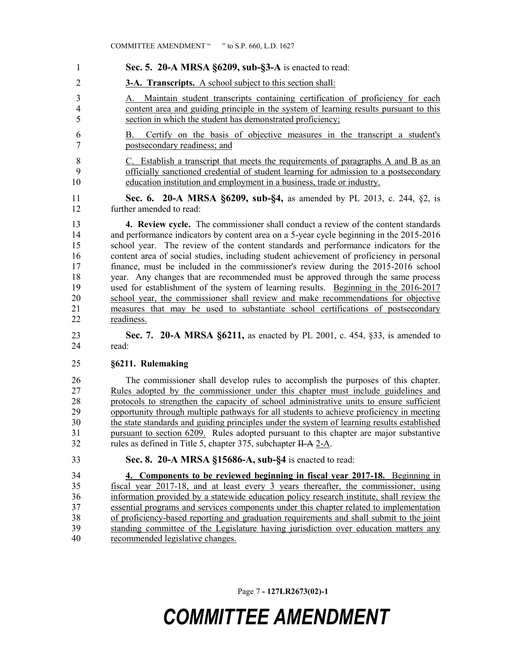- **Sec. 5. 20-A MRSA §6209, sub-§3-A** is enacted to read:
- **3-A. Transcripts.** A school subject to this section shall:

 A. Maintain student transcripts containing certification of proficiency for each content area and guiding principle in the system of learning results pursuant to this section in which the student has demonstrated proficiency;

 B. Certify on the basis of objective measures in the transcript a student's postsecondary readiness; and

 C. Establish a transcript that meets the requirements of paragraphs A and B as an officially sanctioned credential of student learning for admission to a postsecondary education institution and employment in a business, trade or industry.

 **Sec. 6. 20-A MRSA §6209, sub-§4,** as amended by PL 2013, c. 244, §2, is further amended to read:

 **4. Review cycle.** The commissioner shall conduct a review of the content standards and performance indicators by content area on a 5-year cycle beginning in the 2015-2016 school year. The review of the content standards and performance indicators for the content area of social studies, including student achievement of proficiency in personal finance, must be included in the commissioner's review during the 2015-2016 school year. Any changes that are recommended must be approved through the same process used for establishment of the system of learning results. Beginning in the 2016-2017 school year, the commissioner shall review and make recommendations for objective measures that may be used to substantiate school certifications of postsecondary readiness.

 **Sec. 7. 20-A MRSA §6211,** as enacted by PL 2001, c. 454, §33, is amended to read:

#### **§6211. Rulemaking**

26 The commissioner shall develop rules to accomplish the purposes of this chapter.<br>27 Rules adopted by the commissioner under this chapter must include guidelines and Rules adopted by the commissioner under this chapter must include guidelines and protocols to strengthen the capacity of school administrative units to ensure sufficient opportunity through multiple pathways for all students to achieve proficiency in meeting the state standards and guiding principles under the system of learning results established pursuant to section 6209. Rules adopted pursuant to this chapter are major substantive 32 rules as defined in Title 5, chapter 375, subchapter II-A 2-A.

**Sec. 8. 20-A MRSA §15686-A, sub-§4** is enacted to read:

 **4. Components to be reviewed beginning in fiscal year 2017-18.** Beginning in fiscal year 2017-18, and at least every 3 years thereafter, the commissioner, using information provided by a statewide education policy research institute, shall review the essential programs and services components under this chapter related to implementation of proficiency-based reporting and graduation requirements and shall submit to the joint standing committee of the Legislature having jurisdiction over education matters any recommended legislative changes.

Page 7 **- 127LR2673(02)-1**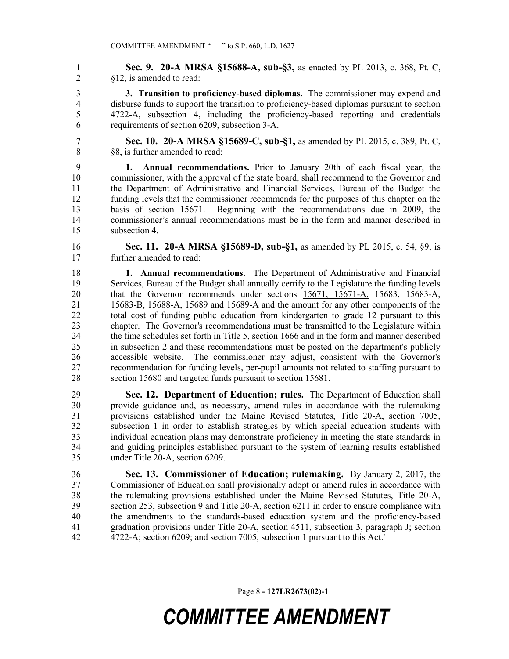**Sec. 9. 20-A MRSA §15688-A, sub-§3,** as enacted by PL 2013, c. 368, Pt. C, §12, is amended to read:

 **3. Transition to proficiency-based diplomas.** The commissioner may expend and disburse funds to support the transition to proficiency-based diplomas pursuant to section 4722-A, subsection 4, including the proficiency-based reporting and credentials requirements of section 6209, subsection 3-A.

 **Sec. 10. 20-A MRSA §15689-C, sub-§1,** as amended by PL 2015, c. 389, Pt. C, §8, is further amended to read:

 **1. Annual recommendations.** Prior to January 20th of each fiscal year, the commissioner, with the approval of the state board, shall recommend to the Governor and the Department of Administrative and Financial Services, Bureau of the Budget the funding levels that the commissioner recommends for the purposes of this chapter on the basis of section 15671. Beginning with the recommendations due in 2009, the commissioner's annual recommendations must be in the form and manner described in subsection 4.

 **Sec. 11. 20-A MRSA §15689-D, sub-§1,** as amended by PL 2015, c. 54, §9, is further amended to read:

 **1. Annual recommendations.** The Department of Administrative and Financial Services, Bureau of the Budget shall annually certify to the Legislature the funding levels that the Governor recommends under sections 15671, 15671-A, 15683, 15683-A, 15683-B, 15688-A, 15689 and 15689-A and the amount for any other components of the total cost of funding public education from kindergarten to grade 12 pursuant to this chapter. The Governor's recommendations must be transmitted to the Legislature within the time schedules set forth in Title 5, section 1666 and in the form and manner described in subsection 2 and these recommendations must be posted on the department's publicly accessible website. The commissioner may adjust, consistent with the Governor's recommendation for funding levels, per-pupil amounts not related to staffing pursuant to section 15680 and targeted funds pursuant to section 15681.

 **Sec. 12. Department of Education; rules.** The Department of Education shall provide guidance and, as necessary, amend rules in accordance with the rulemaking provisions established under the Maine Revised Statutes, Title 20-A, section 7005, subsection 1 in order to establish strategies by which special education students with individual education plans may demonstrate proficiency in meeting the state standards in and guiding principles established pursuant to the system of learning results established under Title 20-A, section 6209.

 **Sec. 13. Commissioner of Education; rulemaking.** By January 2, 2017, the Commissioner of Education shall provisionally adopt or amend rules in accordance with the rulemaking provisions established under the Maine Revised Statutes, Title 20-A, section 253, subsection 9 and Title 20-A, section 6211 in order to ensure compliance with the amendments to the standards-based education system and the proficiency-based graduation provisions under Title 20-A, section 4511, subsection 3, paragraph J; section 4722-A; section 6209; and section 7005, subsection 1 pursuant to this Act.'

Page 8 **- 127LR2673(02)-1**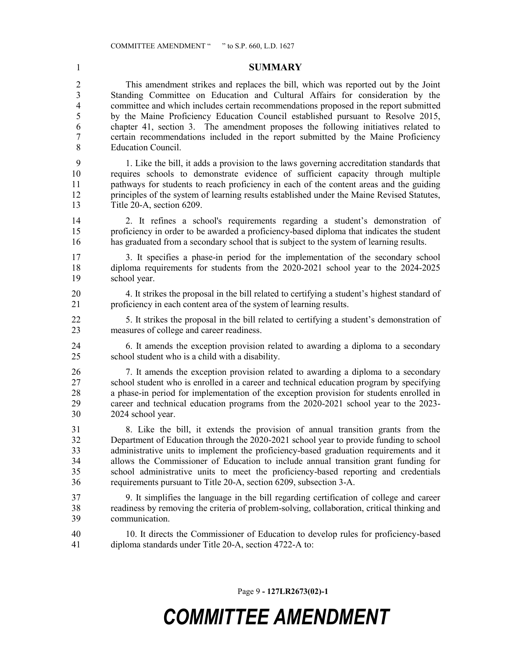**SUMMARY** This amendment strikes and replaces the bill, which was reported out by the Joint Standing Committee on Education and Cultural Affairs for consideration by the committee and which includes certain recommendations proposed in the report submitted by the Maine Proficiency Education Council established pursuant to Resolve 2015, chapter 41, section 3. The amendment proposes the following initiatives related to certain recommendations included in the report submitted by the Maine Proficiency Education Council.

 1. Like the bill, it adds a provision to the laws governing accreditation standards that requires schools to demonstrate evidence of sufficient capacity through multiple pathways for students to reach proficiency in each of the content areas and the guiding principles of the system of learning results established under the Maine Revised Statutes, Title 20-A, section 6209.

 2. It refines a school's requirements regarding a student's demonstration of proficiency in order to be awarded a proficiency-based diploma that indicates the student has graduated from a secondary school that is subject to the system of learning results.

 3. It specifies a phase-in period for the implementation of the secondary school diploma requirements for students from the 2020-2021 school year to the 2024-2025 school year.

 4. It strikes the proposal in the bill related to certifying a student's highest standard of proficiency in each content area of the system of learning results.

 5. It strikes the proposal in the bill related to certifying a student's demonstration of measures of college and career readiness.

 6. It amends the exception provision related to awarding a diploma to a secondary school student who is a child with a disability.

 7. It amends the exception provision related to awarding a diploma to a secondary school student who is enrolled in a career and technical education program by specifying a phase-in period for implementation of the exception provision for students enrolled in career and technical education programs from the 2020-2021 school year to the 2023- 2024 school year.

 8. Like the bill, it extends the provision of annual transition grants from the Department of Education through the 2020-2021 school year to provide funding to school administrative units to implement the proficiency-based graduation requirements and it allows the Commissioner of Education to include annual transition grant funding for school administrative units to meet the proficiency-based reporting and credentials requirements pursuant to Title 20-A, section 6209, subsection 3-A.

- 9. It simplifies the language in the bill regarding certification of college and career readiness by removing the criteria of problem-solving, collaboration, critical thinking and communication.
- 10. It directs the Commissioner of Education to develop rules for proficiency-based diploma standards under Title 20-A, section 4722-A to:

Page 9 **- 127LR2673(02)-1**